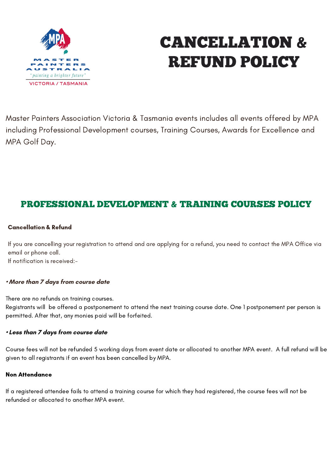

# CANCELLATION & REFUND POLICY

Master Painters Association Victoria & Tasmania events includes all events offered by MPA including Professional Development courses, Training Courses, Awards for Excellence and MPA Golf Day.

# PROFESSIONAL DEVELOPMENT & TRAINING COURSES POLICY

### Cancellation & Refund

If you are cancelling your registration to attend and are applying for a refund, you need to contact the MPA Office via email or phone call.

If notification is received:-

#### **• More than 7 days from course date**

There are no refunds on training courses.

Registrants will be offered a postponement to attend the next training course date. One 1 postponement per person is permitted. After that, any monies paid will be forfeited.

#### **• Less than 7 days from course date**

Course fees will not be refunded 5 working days from event date or allocated to another MPA event. A full refund will be given to all registrants if an event has been cancelled by MPA.

#### Non Attendance

If a registered attendee fails to attend a training course for which they had registered, the course fees will not be refunded or allocated to another MPA event.